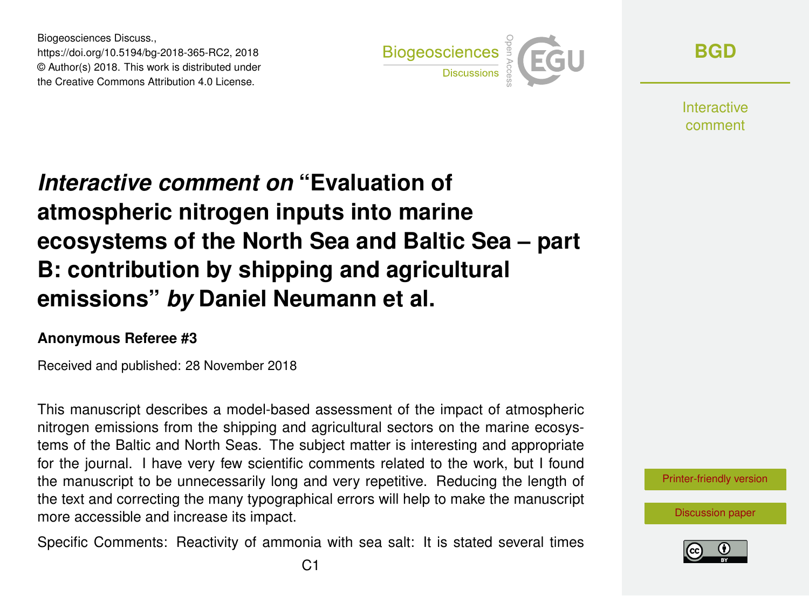Biogeosciences Discuss., https://doi.org/10.5194/bg-2018-365-RC2, 2018 © Author(s) 2018. This work is distributed under the Creative Commons Attribution 4.0 License.



**[BGD](https://www.biogeosciences-discuss.net/)**

**Interactive** comment

## *Interactive comment on* **"Evaluation of atmospheric nitrogen inputs into marine ecosystems of the North Sea and Baltic Sea – part B: contribution by shipping and agricultural emissions"** *by* **Daniel Neumann et al.**

## **Anonymous Referee #3**

Received and published: 28 November 2018

This manuscript describes a model-based assessment of the impact of atmospheric nitrogen emissions from the shipping and agricultural sectors on the marine ecosystems of the Baltic and North Seas. The subject matter is interesting and appropriate for the journal. I have very few scientific comments related to the work, but I found the manuscript to be unnecessarily long and very repetitive. Reducing the length of the text and correcting the many typographical errors will help to make the manuscript more accessible and increase its impact.

Specific Comments: Reactivity of ammonia with sea salt: It is stated several times



[Discussion paper](https://www.biogeosciences-discuss.net/bg-2018-365)

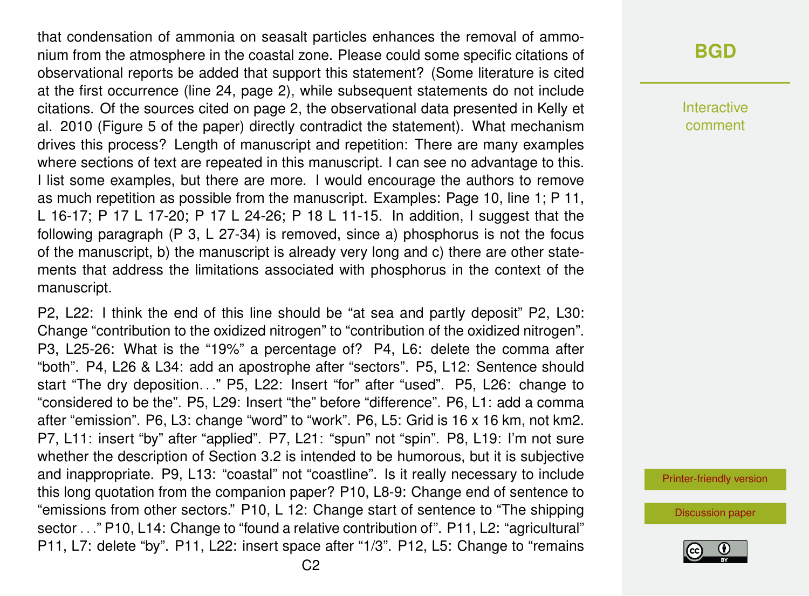that condensation of ammonia on seasalt particles enhances the removal of ammonium from the atmosphere in the coastal zone. Please could some specific citations of observational reports be added that support this statement? (Some literature is cited at the first occurrence (line 24, page 2), while subsequent statements do not include citations. Of the sources cited on page 2, the observational data presented in Kelly et al. 2010 (Figure 5 of the paper) directly contradict the statement). What mechanism drives this process? Length of manuscript and repetition: There are many examples where sections of text are repeated in this manuscript. I can see no advantage to this. I list some examples, but there are more. I would encourage the authors to remove as much repetition as possible from the manuscript. Examples: Page 10, line 1; P 11, L 16-17; P 17 L 17-20; P 17 L 24-26; P 18 L 11-15. In addition, I suggest that the following paragraph (P 3, L 27-34) is removed, since a) phosphorus is not the focus of the manuscript, b) the manuscript is already very long and c) there are other statements that address the limitations associated with phosphorus in the context of the manuscript.

P2, L22: I think the end of this line should be "at sea and partly deposit" P2, L30: Change "contribution to the oxidized nitrogen" to "contribution of the oxidized nitrogen". P3, L25-26: What is the "19%" a percentage of? P4, L6: delete the comma after "both". P4, L26 & L34: add an apostrophe after "sectors". P5, L12: Sentence should start "The dry deposition..." P5, L22: Insert "for" after "used". P5, L26: change to "considered to be the". P5, L29: Insert "the" before "difference". P6, L1: add a comma after "emission". P6, L3: change "word" to "work". P6, L5: Grid is 16 x 16 km, not km2. P7, L11: insert "by" after "applied". P7, L21: "spun" not "spin". P8, L19: I'm not sure whether the description of Section 3.2 is intended to be humorous, but it is subjective and inappropriate. P9, L13: "coastal" not "coastline". Is it really necessary to include this long quotation from the companion paper? P10, L8-9: Change end of sentence to "emissions from other sectors." P10, L 12: Change start of sentence to "The shipping sector . . ." P10, L14: Change to "found a relative contribution of". P11, L2: "agricultural" P11, L7: delete "by". P11, L22: insert space after "1/3". P12, L5: Change to "remains

## **[BGD](https://www.biogeosciences-discuss.net/)**

Interactive comment

[Printer-friendly version](https://www.biogeosciences-discuss.net/bg-2018-365/bg-2018-365-RC2-print.pdf)

[Discussion paper](https://www.biogeosciences-discuss.net/bg-2018-365)